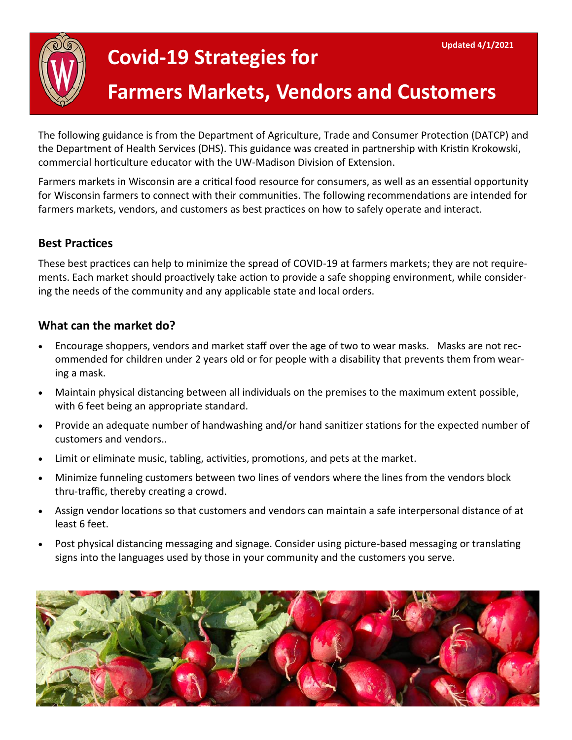# **Covid-19 Strategies for**

# **Farmers Markets, Vendors and Customers**

The following guidance is from the Department of Agriculture, Trade and Consumer Protection (DATCP) and the Department of Health Services (DHS). This guidance was created in partnership with Kristin Krokowski, commercial horticulture educator with the UW-Madison Division of Extension.

Farmers markets in Wisconsin are a critical food resource for consumers, as well as an essential opportunity for Wisconsin farmers to connect with their communities. The following recommendations are intended for farmers markets, vendors, and customers as best practices on how to safely operate and interact.

#### **Best Practices**

These best practices can help to minimize the spread of COVID-19 at farmers markets; they are not requirements. Each market should proactively take action to provide a safe shopping environment, while considering the needs of the community and any applicable state and local orders.

#### **What can the market do?**

- Encourage shoppers, vendors and market staff over the age of two to wear masks. Masks are not recommended for children under 2 years old or for people with a disability that prevents them from wearing a mask.
- Maintain physical distancing between all individuals on the premises to the maximum extent possible, with 6 feet being an appropriate standard.
- Provide an adequate number of handwashing and/or hand sanitizer stations for the expected number of customers and vendors..
- Limit or eliminate music, tabling, activities, promotions, and pets at the market.
- Minimize funneling customers between two lines of vendors where the lines from the vendors block thru-traffic, thereby creating a crowd.
- Assign vendor locations so that customers and vendors can maintain a safe interpersonal distance of at least 6 feet.
- Post physical distancing messaging and signage. Consider using picture-based messaging or translating signs into the languages used by those in your community and the customers you serve.